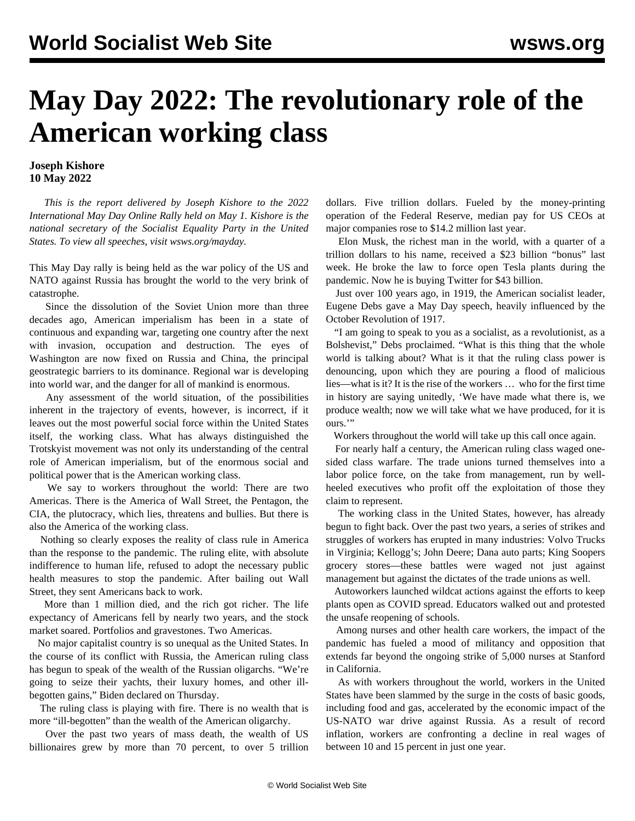## **May Day 2022: The revolutionary role of the American working class**

## **Joseph Kishore 10 May 2022**

 *This is the report delivered by Joseph Kishore to the 2022 International May Day Online Rally held on May 1. Kishore is the national secretary of the Socialist Equality Party in the United States. To view all speeches, visit [wsws.org/mayday](/mayday).*

This May Day rally is being held as the war policy of the US and NATO against Russia has brought the world to the very brink of catastrophe.

 Since the dissolution of the Soviet Union more than three decades ago, American imperialism has been in a state of continuous and expanding war, targeting one country after the next with invasion, occupation and destruction. The eyes of Washington are now fixed on Russia and China, the principal geostrategic barriers to its dominance. Regional war is developing into world war, and the danger for all of mankind is enormous.

 Any assessment of the world situation, of the possibilities inherent in the trajectory of events, however, is incorrect, if it leaves out the most powerful social force within the United States itself, the working class. What has always distinguished the Trotskyist movement was not only its understanding of the central role of American imperialism, but of the enormous social and political power that is the American working class.

 We say to workers throughout the world: There are two Americas. There is the America of Wall Street, the Pentagon, the CIA, the plutocracy, which lies, threatens and bullies. But there is also the America of the working class.

 Nothing so clearly exposes the reality of class rule in America than the response to the pandemic. The ruling elite, with absolute indifference to human life, refused to adopt the necessary public health measures to stop the pandemic. After bailing out Wall Street, they sent Americans back to work.

 More than 1 million died, and the rich got richer. The life expectancy of Americans fell by nearly two years, and the stock market soared. Portfolios and gravestones. Two Americas.

 No major capitalist country is so unequal as the United States. In the course of its conflict with Russia, the American ruling class has begun to speak of the wealth of the Russian oligarchs. "We're going to seize their yachts, their luxury homes, and other illbegotten gains," Biden declared on Thursday.

 The ruling class is playing with fire. There is no wealth that is more "ill-begotten" than the wealth of the American oligarchy.

 Over the past two years of mass death, the wealth of US billionaires grew by more than 70 percent, to over 5 trillion dollars. Five trillion dollars. Fueled by the money-printing operation of the Federal Reserve, median pay for US CEOs at major companies rose to \$14.2 million last year.

 Elon Musk, the richest man in the world, with a quarter of a trillion dollars to his name, received a \$23 billion "bonus" last week. He broke the law to force open Tesla plants during the pandemic. Now he is buying Twitter for \$43 billion.

 Just over 100 years ago, in 1919, the American socialist leader, Eugene Debs gave a May Day speech, heavily influenced by the October Revolution of 1917.

 "I am going to speak to you as a socialist, as a revolutionist, as a Bolshevist," Debs proclaimed. "What is this thing that the whole world is talking about? What is it that the ruling class power is denouncing, upon which they are pouring a flood of malicious lies—what is it? It is the rise of the workers … who for the first time in history are saying unitedly, 'We have made what there is, we produce wealth; now we will take what we have produced, for it is ours."

Workers throughout the world will take up this call once again.

 For nearly half a century, the American ruling class waged onesided class warfare. The trade unions turned themselves into a labor police force, on the take from management, run by wellheeled executives who profit off the exploitation of those they claim to represent.

 The working class in the United States, however, has already begun to fight back. Over the past two years, a series of strikes and struggles of workers has erupted in many industries: Volvo Trucks in Virginia; Kellogg's; John Deere; Dana auto parts; King Soopers grocery stores—these battles were waged not just against management but against the dictates of the trade unions as well.

 Autoworkers launched wildcat actions against the efforts to keep plants open as COVID spread. Educators walked out and protested the unsafe reopening of schools.

 Among nurses and other health care workers, the impact of the pandemic has fueled a mood of militancy and opposition that extends far beyond the ongoing strike of 5,000 nurses at Stanford in California.

 As with workers throughout the world, workers in the United States have been slammed by the surge in the costs of basic goods, including food and gas, accelerated by the economic impact of the US-NATO war drive against Russia. As a result of record inflation, workers are confronting a decline in real wages of between 10 and 15 percent in just one year.